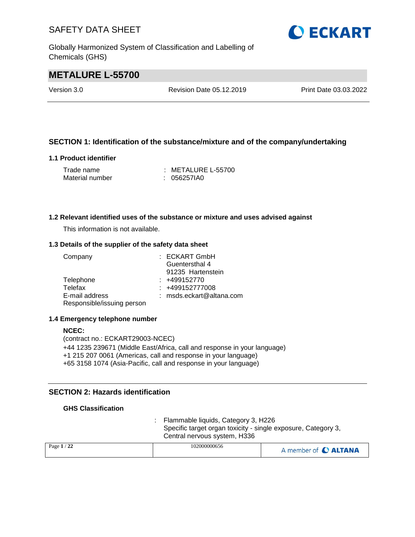Globally Harmonized System of Classification and Labelling of Chemicals (GHS)

# **O ECKART**

# **METALURE L-55700**

Version 3.0 Revision Date 05.12.2019 Print Date 03.03.2022

### **SECTION 1: Identification of the substance/mixture and of the company/undertaking**

### **1.1 Product identifier**

| Trade name      | : METALURE L-55700 |
|-----------------|--------------------|
| Material number | : 056257IA0        |

#### **1.2 Relevant identified uses of the substance or mixture and uses advised against**

This information is not available.

#### **1.3 Details of the supplier of the safety data sheet**

| Company                    | $:$ ECKART GmbH            |
|----------------------------|----------------------------|
|                            | Guentersthal 4             |
|                            | 91235 Hartenstein          |
| Telephone                  | $: +499152770$             |
| Telefax                    | : +499152777008            |
| E-mail address             | $:$ msds.eckart@altana.com |
| Responsible/issuing person |                            |

#### **1.4 Emergency telephone number**

### **NCEC:** (contract no.: ECKART29003-NCEC) +44 1235 239671 (Middle East/Africa, call and response in your language) +1 215 207 0061 (Americas, call and response in your language) +65 3158 1074 (Asia-Pacific, call and response in your language)

### **SECTION 2: Hazards identification**

### **GHS Classification**

: Flammable liquids, Category 3, H226 Specific target organ toxicity - single exposure, Category 3, Central nervous system, H336

| Page $1/22$<br>102000000656 | A member of C ALTANA |
|-----------------------------|----------------------|
|-----------------------------|----------------------|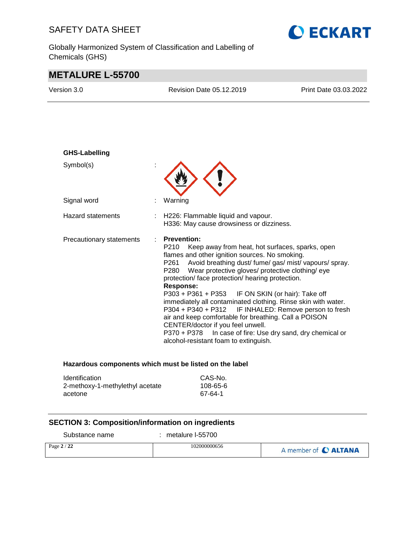Globally Harmonized System of Classification and Labelling of Chemicals (GHS)



# **METALURE L-55700**

| Version 3.0              | <b>Revision Date 05.12.2019</b>                                                                                                                                                                                                                                                                                                                                                                                                                                                                                                                                                                                                             | Print Date 03.03.2022                                                            |
|--------------------------|---------------------------------------------------------------------------------------------------------------------------------------------------------------------------------------------------------------------------------------------------------------------------------------------------------------------------------------------------------------------------------------------------------------------------------------------------------------------------------------------------------------------------------------------------------------------------------------------------------------------------------------------|----------------------------------------------------------------------------------|
|                          |                                                                                                                                                                                                                                                                                                                                                                                                                                                                                                                                                                                                                                             |                                                                                  |
| <b>GHS-Labelling</b>     |                                                                                                                                                                                                                                                                                                                                                                                                                                                                                                                                                                                                                                             |                                                                                  |
| Symbol(s)                |                                                                                                                                                                                                                                                                                                                                                                                                                                                                                                                                                                                                                                             |                                                                                  |
| Signal word              | Warning                                                                                                                                                                                                                                                                                                                                                                                                                                                                                                                                                                                                                                     |                                                                                  |
| <b>Hazard statements</b> | H226: Flammable liquid and vapour.<br>H336: May cause drowsiness or dizziness.                                                                                                                                                                                                                                                                                                                                                                                                                                                                                                                                                              |                                                                                  |
| Precautionary statements | <b>Prevention:</b><br>P210<br>Keep away from heat, hot surfaces, sparks, open<br>flames and other ignition sources. No smoking.<br>Avoid breathing dust/ fume/ gas/ mist/ vapours/ spray.<br>P261<br>Wear protective gloves/ protective clothing/ eye<br>P280<br>protection/ face protection/ hearing protection.<br><b>Response:</b><br>P303 + P361 + P353<br>immediately all contaminated clothing. Rinse skin with water.<br>P304 + P340 + P312 IF INHALED: Remove person to fresh<br>air and keep comfortable for breathing. Call a POISON<br>CENTER/doctor if you feel unwell.<br>P370 + P378<br>alcohol-resistant foam to extinguish. | IF ON SKIN (or hair): Take off<br>In case of fire: Use dry sand, dry chemical or |

### **Hazardous components which must be listed on the label**

| <b>Identification</b>           | CAS-No.  |
|---------------------------------|----------|
| 2-methoxy-1-methylethyl acetate | 108-65-6 |
| acetone                         | 67-64-1  |

### **SECTION 3: Composition/information on ingredients**

Substance name : metalure l-55700

| 102000000656<br>Page $2/22$<br>A member of C ALTANA |  |
|-----------------------------------------------------|--|
|-----------------------------------------------------|--|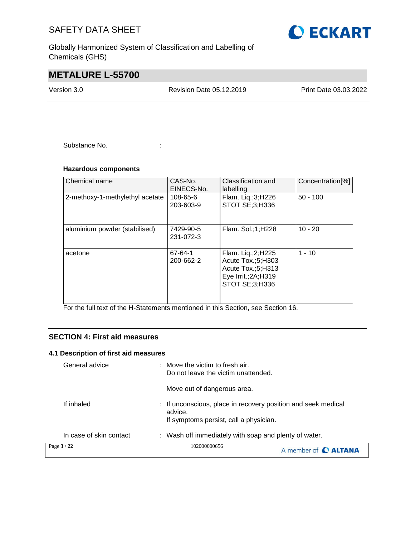Globally Harmonized System of Classification and Labelling of Chemicals (GHS)

# **METALURE L-55700**

Version 3.0 Revision Date 05.12.2019 Print Date 03.03.2022

Substance No. **:** : :

### **Hazardous components**

| Chemical name                   | CAS-No.<br>EINECS-No.  | Classification and<br>labelling                                                                            | Concentration <sup>[%]</sup> |
|---------------------------------|------------------------|------------------------------------------------------------------------------------------------------------|------------------------------|
| 2-methoxy-1-methylethyl acetate | 108-65-6<br>203-603-9  | Flam. Liq.;3;H226<br>STOT SE;3;H336                                                                        | $50 - 100$                   |
| aluminium powder (stabilised)   | 7429-90-5<br>231-072-3 | Flam. Sol.:1:H228                                                                                          | $10 - 20$                    |
| acetone                         | 67-64-1<br>200-662-2   | Flam. Liq.;2;H225<br>Acute Tox.;5;H303<br>Acute Tox.;5;H313<br>Eye Irrit.; $2A$ ; $H319$<br>STOT SE;3;H336 | $1 - 10$                     |

For the full text of the H-Statements mentioned in this Section, see Section 16.

### **SECTION 4: First aid measures**

### **4.1 Description of first aid measures**

| Page 3 / 22    |                         | 102000000656                                                                                                       | A member of C ALTANA |
|----------------|-------------------------|--------------------------------------------------------------------------------------------------------------------|----------------------|
|                | In case of skin contact | : Wash off immediately with soap and plenty of water.                                                              |                      |
| If inhaled     |                         | : If unconscious, place in recovery position and seek medical<br>advice.<br>If symptoms persist, call a physician. |                      |
|                |                         | Move out of dangerous area.                                                                                        |                      |
| General advice |                         | $\therefore$ Move the victim to fresh air.<br>Do not leave the victim unattended.                                  |                      |

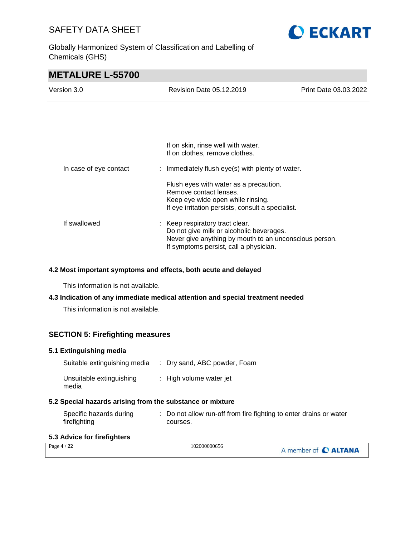Globally Harmonized System of Classification and Labelling of Chemicals (GHS)



# **METALURE L-55700**

| Version 3.0            | Revision Date 05.12.2019                                                                                                                                                        | Print Date 03.03.2022 |
|------------------------|---------------------------------------------------------------------------------------------------------------------------------------------------------------------------------|-----------------------|
|                        |                                                                                                                                                                                 |                       |
|                        |                                                                                                                                                                                 |                       |
|                        | If on skin, rinse well with water.<br>If on clothes, remove clothes.                                                                                                            |                       |
| In case of eye contact | : Immediately flush eye(s) with plenty of water.                                                                                                                                |                       |
|                        | Flush eyes with water as a precaution.<br>Remove contact lenses.<br>Keep eye wide open while rinsing.<br>If eye irritation persists, consult a specialist.                      |                       |
| If swallowed           | : Keep respiratory tract clear.<br>Do not give milk or alcoholic beverages.<br>Never give anything by mouth to an unconscious person.<br>If symptoms persist, call a physician. |                       |

#### **4.2 Most important symptoms and effects, both acute and delayed**

This information is not available.

### **4.3 Indication of any immediate medical attention and special treatment needed**

This information is not available.

### **SECTION 5: Firefighting measures**

### **5.1 Extinguishing media**

| Suitable extinguishing media      | : Dry sand, ABC powder, Foam |
|-----------------------------------|------------------------------|
| Unsuitable extinguishing<br>media | : High volume water jet      |

### **5.2 Special hazards arising from the substance or mixture**

| Specific hazards during | : Do not allow run-off from fire fighting to enter drains or water |
|-------------------------|--------------------------------------------------------------------|
| firefighting            | courses.                                                           |

### **5.3 Advice for firefighters**

| $\sqrt{2}$<br>Page 4 / 22 | 102000000656 | A member of <b>C ALTANA</b> |
|---------------------------|--------------|-----------------------------|
|---------------------------|--------------|-----------------------------|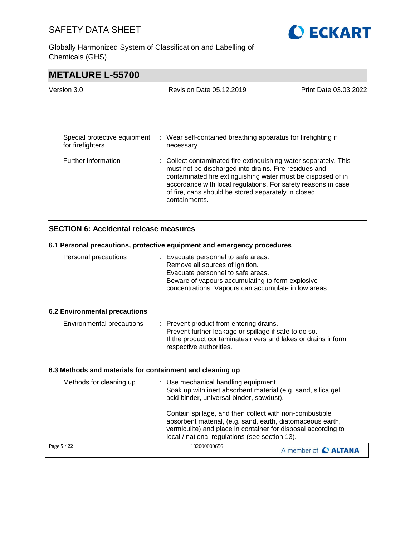Globally Harmonized System of Classification and Labelling of Chemicals (GHS)



# **METALURE L-55700**

| Version 3.0                                      |  | Revision Date 05.12.2019                                                                                                                                                                                                                                                                                                           | Print Date 03.03.2022 |  |
|--------------------------------------------------|--|------------------------------------------------------------------------------------------------------------------------------------------------------------------------------------------------------------------------------------------------------------------------------------------------------------------------------------|-----------------------|--|
|                                                  |  |                                                                                                                                                                                                                                                                                                                                    |                       |  |
| Special protective equipment<br>for firefighters |  | : Wear self-contained breathing apparatus for firefighting if<br>necessary.                                                                                                                                                                                                                                                        |                       |  |
| Further information                              |  | : Collect contaminated fire extinguishing water separately. This<br>must not be discharged into drains. Fire residues and<br>contaminated fire extinguishing water must be disposed of in<br>accordance with local regulations. For safety reasons in case<br>of fire, cans should be stored separately in closed<br>containments. |                       |  |

### **SECTION 6: Accidental release measures**

### **6.1 Personal precautions, protective equipment and emergency procedures**

| Page 5 / 22                                               | 102000000656                                                                                                                                                                                                                                                                         | A member of C ALTANA |  |
|-----------------------------------------------------------|--------------------------------------------------------------------------------------------------------------------------------------------------------------------------------------------------------------------------------------------------------------------------------------|----------------------|--|
|                                                           | acid binder, universal binder, sawdust).<br>Contain spillage, and then collect with non-combustible<br>absorbent material, (e.g. sand, earth, diatomaceous earth,<br>vermiculite) and place in container for disposal according to<br>local / national regulations (see section 13). |                      |  |
| Methods for cleaning up                                   | : Use mechanical handling equipment.<br>Soak up with inert absorbent material (e.g. sand, silica gel,                                                                                                                                                                                |                      |  |
| 6.3 Methods and materials for containment and cleaning up |                                                                                                                                                                                                                                                                                      |                      |  |
| Environmental precautions                                 | : Prevent product from entering drains.<br>Prevent further leakage or spillage if safe to do so.<br>If the product contaminates rivers and lakes or drains inform<br>respective authorities.                                                                                         |                      |  |
| <b>6.2 Environmental precautions</b>                      |                                                                                                                                                                                                                                                                                      |                      |  |
| Personal precautions                                      | : Evacuate personnel to safe areas.<br>Remove all sources of ignition.<br>Evacuate personnel to safe areas.<br>Beware of vapours accumulating to form explosive<br>concentrations. Vapours can accumulate in low areas.                                                              |                      |  |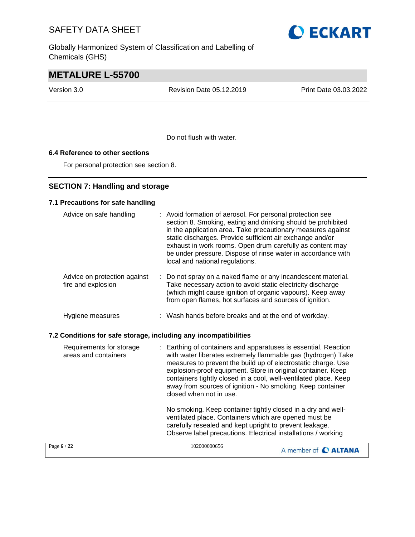Globally Harmonized System of Classification and Labelling of Chemicals (GHS)



# **METALURE L-55700**

Version 3.0 Revision Date 05.12.2019 Print Date 03.03.2022

Do not flush with water.

### **6.4 Reference to other sections**

For personal protection see section 8.

### **SECTION 7: Handling and storage**

### **7.1 Precautions for safe handling**

| Advice on safe handling                                          | Avoid formation of aerosol. For personal protection see<br>section 8. Smoking, eating and drinking should be prohibited<br>in the application area. Take precautionary measures against<br>static discharges. Provide sufficient air exchange and/or<br>exhaust in work rooms. Open drum carefully as content may<br>be under pressure. Dispose of rinse water in accordance with<br>local and national regulations.          |                      |
|------------------------------------------------------------------|-------------------------------------------------------------------------------------------------------------------------------------------------------------------------------------------------------------------------------------------------------------------------------------------------------------------------------------------------------------------------------------------------------------------------------|----------------------|
| Advice on protection against<br>fire and explosion               | : Do not spray on a naked flame or any incandescent material.<br>Take necessary action to avoid static electricity discharge<br>(which might cause ignition of organic vapours). Keep away<br>from open flames, hot surfaces and sources of ignition.                                                                                                                                                                         |                      |
| Hygiene measures                                                 | : Wash hands before breaks and at the end of workday.                                                                                                                                                                                                                                                                                                                                                                         |                      |
| 7.2 Conditions for safe storage, including any incompatibilities |                                                                                                                                                                                                                                                                                                                                                                                                                               |                      |
| Requirements for storage<br>areas and containers                 | : Earthing of containers and apparatuses is essential. Reaction<br>with water liberates extremely flammable gas (hydrogen) Take<br>measures to prevent the build up of electrostatic charge. Use<br>explosion-proof equipment. Store in original container. Keep<br>containers tightly closed in a cool, well-ventilated place. Keep<br>away from sources of ignition - No smoking. Keep container<br>closed when not in use. |                      |
|                                                                  | No smoking. Keep container tightly closed in a dry and well-<br>ventilated place. Containers which are opened must be<br>carefully resealed and kept upright to prevent leakage.<br>Observe label precautions. Electrical installations / working                                                                                                                                                                             |                      |
| Page 6 / 22                                                      | 102000000656                                                                                                                                                                                                                                                                                                                                                                                                                  | A member of C ALTANA |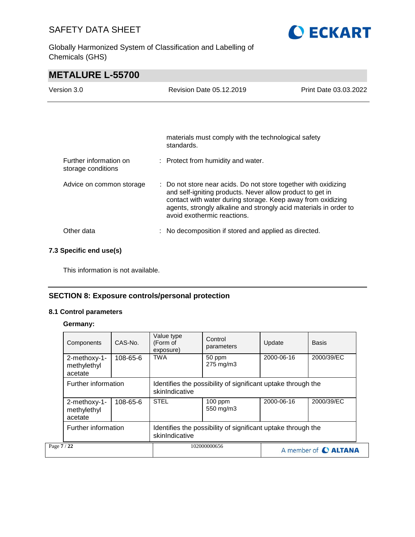Globally Harmonized System of Classification and Labelling of Chemicals (GHS)



# **METALURE L-55700**

| Version 3.0                                  | <b>Revision Date 05.12.2019</b>                                                                                                                                                                                                                                                                 | Print Date 03.03.2022 |
|----------------------------------------------|-------------------------------------------------------------------------------------------------------------------------------------------------------------------------------------------------------------------------------------------------------------------------------------------------|-----------------------|
|                                              |                                                                                                                                                                                                                                                                                                 |                       |
|                                              | materials must comply with the technological safety<br>standards.                                                                                                                                                                                                                               |                       |
| Further information on<br>storage conditions | : Protect from humidity and water.                                                                                                                                                                                                                                                              |                       |
| Advice on common storage                     | : Do not store near acids. Do not store together with oxidizing<br>and self-igniting products. Never allow product to get in<br>contact with water during storage. Keep away from oxidizing<br>agents, strongly alkaline and strongly acid materials in order to<br>avoid exothermic reactions. |                       |
| Other data                                   | No decomposition if stored and applied as directed.                                                                                                                                                                                                                                             |                       |

### **7.3 Specific end use(s)**

This information is not available.

### **SECTION 8: Exposure controls/personal protection**

### **8.1 Control parameters**

### **Germany:**

|             | Components                             | CAS-No.  | Value type<br>(Form of<br>exposure)                                            | Control<br>parameters | Update     | <b>Basis</b>         |
|-------------|----------------------------------------|----------|--------------------------------------------------------------------------------|-----------------------|------------|----------------------|
|             | 2-methoxy-1-<br>methylethyl<br>acetate | 108-65-6 | <b>TWA</b>                                                                     | 50 ppm<br>275 mg/m3   | 2000-06-16 | 2000/39/EC           |
|             | Further information                    |          | Identifies the possibility of significant uptake through the<br>skinIndicative |                       |            |                      |
|             | 2-methoxy-1-<br>methylethyl<br>acetate | 108-65-6 | <b>STEL</b>                                                                    | 100 ppm<br>550 mg/m3  | 2000-06-16 | 2000/39/EC           |
|             | Further information                    |          | Identifies the possibility of significant uptake through the<br>skinIndicative |                       |            |                      |
| Page 7 / 22 |                                        |          |                                                                                | 102000000656          |            | A member of C ALTANA |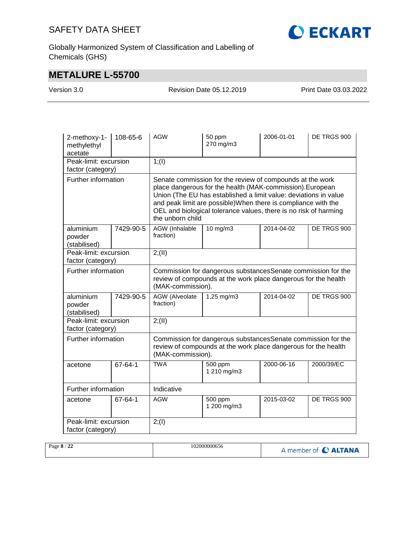

Globally Harmonized System of Classification and Labelling of Chemicals (GHS)

# **METALURE L-55700**

Version 3.0 Revision Date 05.12.2019 Print Date 03.03.2022

| 2-methoxy-1-<br>methylethyl<br>acetate     | 108-65-6  | <b>AGW</b>                                                                                                                                                                                                                                                                                                                                           | 50 ppm<br>270 mg/m3    | 2006-01-01 | DE TRGS 900 |  |  |
|--------------------------------------------|-----------|------------------------------------------------------------------------------------------------------------------------------------------------------------------------------------------------------------------------------------------------------------------------------------------------------------------------------------------------------|------------------------|------------|-------------|--|--|
| Peak-limit: excursion<br>factor (category) |           | 1; (1)                                                                                                                                                                                                                                                                                                                                               |                        |            |             |  |  |
| Further information                        |           | Senate commission for the review of compounds at the work<br>place dangerous for the health (MAK-commission). European<br>Union (The EU has established a limit value: deviations in value<br>and peak limit are possible) When there is compliance with the<br>OEL and biological tolerance values, there is no risk of harming<br>the unborn child |                        |            |             |  |  |
| aluminium<br>powder<br>(stabilised)        | 7429-90-5 | <b>AGW</b> (Inhalable<br>fraction)                                                                                                                                                                                                                                                                                                                   | $10$ mg/m $3$          | 2014-04-02 | DE TRGS 900 |  |  |
| Peak-limit: excursion<br>factor (category) |           | 2; (II)                                                                                                                                                                                                                                                                                                                                              |                        |            |             |  |  |
| Further information                        |           | Commission for dangerous substances Senate commission for the<br>review of compounds at the work place dangerous for the health<br>(MAK-commission).                                                                                                                                                                                                 |                        |            |             |  |  |
| aluminium<br>powder<br>(stabilised)        | 7429-90-5 | <b>AGW</b> (Alveolate<br>fraction)                                                                                                                                                                                                                                                                                                                   | 1,25 mg/m3             | 2014-04-02 | DE TRGS 900 |  |  |
| Peak-limit: excursion<br>factor (category) |           | 2; (II)                                                                                                                                                                                                                                                                                                                                              |                        |            |             |  |  |
| Further information                        |           | Commission for dangerous substancesSenate commission for the<br>review of compounds at the work place dangerous for the health<br>(MAK-commission).                                                                                                                                                                                                  |                        |            |             |  |  |
| acetone                                    | 67-64-1   | <b>TWA</b>                                                                                                                                                                                                                                                                                                                                           | 500 ppm<br>1 210 mg/m3 | 2000-06-16 | 2000/39/EC  |  |  |
| Further information                        |           | Indicative                                                                                                                                                                                                                                                                                                                                           |                        |            |             |  |  |
| acetone                                    | 67-64-1   | <b>AGW</b>                                                                                                                                                                                                                                                                                                                                           | 500 ppm<br>1 200 mg/m3 | 2015-03-02 | DE TRGS 900 |  |  |
| Peak-limit: excursion<br>factor (category) |           | 2; (1)                                                                                                                                                                                                                                                                                                                                               |                        |            |             |  |  |

| Page 8<br>$\overline{a}$<br>-44 | 102000000656 | $\mathcal{L}$<br><b>C ALTANA</b><br>member of |
|---------------------------------|--------------|-----------------------------------------------|
|---------------------------------|--------------|-----------------------------------------------|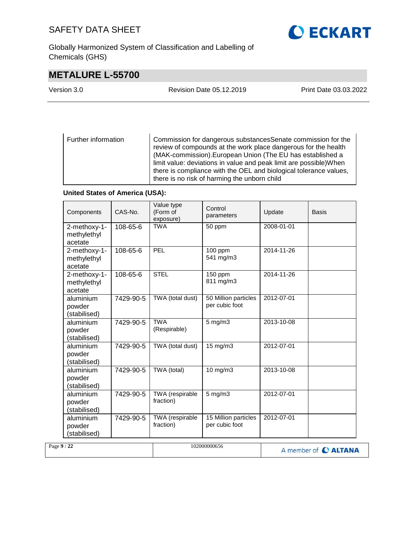Globally Harmonized System of Classification and Labelling of Chemicals (GHS)

# **METALURE L-55700**

| Version 3.0 | Revision Date 05.12.2019 | Print Date 03.03.2022 |
|-------------|--------------------------|-----------------------|
|             |                          |                       |

Further information Commission for dangerous substancesSenate commission for the review of compounds at the work place dangerous for the health (MAK-commission).European Union (The EU has established a limit value: deviations in value and peak limit are possible)When there is compliance with the OEL and biological tolerance values, there is no risk of harming the unborn child

### **United States of America (USA):**

|             | Components                             | CAS-No.   | Value type<br>(Form of<br>exposure) | Control<br>parameters                  | Update     | <b>Basis</b>                |
|-------------|----------------------------------------|-----------|-------------------------------------|----------------------------------------|------------|-----------------------------|
|             | 2-methoxy-1-<br>methylethyl<br>acetate | 108-65-6  | <b>TWA</b>                          | 50 ppm                                 | 2008-01-01 |                             |
|             | 2-methoxy-1-<br>methylethyl<br>acetate | 108-65-6  | PEL                                 | 100 ppm<br>541 mg/m3                   | 2014-11-26 |                             |
|             | 2-methoxy-1-<br>methylethyl<br>acetate | 108-65-6  | <b>STEL</b>                         | 150 ppm<br>811 mg/m3                   | 2014-11-26 |                             |
|             | aluminium<br>powder<br>(stabilised)    | 7429-90-5 | TWA (total dust)                    | 50 Million particles<br>per cubic foot | 2012-07-01 |                             |
|             | aluminium<br>powder<br>(stabilised)    | 7429-90-5 | <b>TWA</b><br>(Respirable)          | $5$ mg/m $3$                           | 2013-10-08 |                             |
|             | aluminium<br>powder<br>(stabilised)    | 7429-90-5 | TWA (total dust)                    | $15 \text{ mg/m}$                      | 2012-07-01 |                             |
|             | aluminium<br>powder<br>(stabilised)    | 7429-90-5 | TWA (total)                         | 10 mg/m3                               | 2013-10-08 |                             |
|             | aluminium<br>powder<br>(stabilised)    | 7429-90-5 | TWA (respirable<br>fraction)        | $5$ mg/m $3$                           | 2012-07-01 |                             |
|             | aluminium<br>powder<br>(stabilised)    | 7429-90-5 | TWA (respirable<br>fraction)        | 15 Million particles<br>per cubic foot | 2012-07-01 |                             |
| Page 9 / 22 |                                        |           |                                     | 102000000656                           |            | A member of <b>C ALTANA</b> |

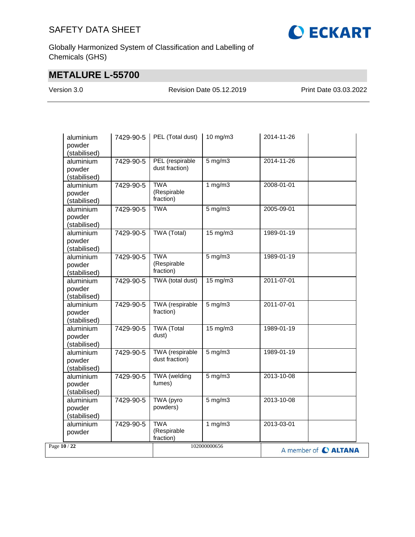

Globally Harmonized System of Classification and Labelling of Chemicals (GHS)

# **METALURE L-55700**

Version 3.0 Revision Date 05.12.2019 Print Date 03.03.2022

|              | aluminium<br>powder<br>(stabilised) | 7429-90-5 | PEL (Total dust)                       | 10 mg/m3          | 2014-11-26 |                      |
|--------------|-------------------------------------|-----------|----------------------------------------|-------------------|------------|----------------------|
|              | aluminium<br>powder<br>(stabilised) | 7429-90-5 | PEL (respirable<br>dust fraction)      | $5$ mg/m $3$      | 2014-11-26 |                      |
|              | aluminium<br>powder<br>(stabilised) | 7429-90-5 | <b>TWA</b><br>(Respirable<br>fraction) | 1 $mg/m3$         | 2008-01-01 |                      |
|              | aluminium<br>powder<br>(stabilised) | 7429-90-5 | <b>TWA</b>                             | $5$ mg/m $3$      | 2005-09-01 |                      |
|              | aluminium<br>powder<br>(stabilised) | 7429-90-5 | TWA (Total)                            | $15 \text{ mg/m}$ | 1989-01-19 |                      |
|              | aluminium<br>powder<br>(stabilised) | 7429-90-5 | <b>TWA</b><br>(Respirable<br>fraction) | $5$ mg/m $3$      | 1989-01-19 |                      |
|              | aluminium<br>powder<br>(stabilised) | 7429-90-5 | TWA (total dust)                       | 15 mg/m3          | 2011-07-01 |                      |
|              | aluminium<br>powder<br>(stabilised) | 7429-90-5 | <b>TWA</b> (respirable<br>fraction)    | $5$ mg/m $3$      | 2011-07-01 |                      |
|              | aluminium<br>powder<br>(stabilised) | 7429-90-5 | <b>TWA</b> (Total<br>dust)             | $15 \text{ mg/m}$ | 1989-01-19 |                      |
|              | aluminium<br>powder<br>(stabilised) | 7429-90-5 | TWA (respirable<br>dust fraction)      | $5 \text{ mg/m}$  | 1989-01-19 |                      |
|              | aluminium<br>powder<br>(stabilised) | 7429-90-5 | TWA (welding<br>fumes)                 | $5 \text{ mg/m}$  | 2013-10-08 |                      |
|              | aluminium<br>powder<br>(stabilised) | 7429-90-5 | TWA (pyro<br>powders)                  | $5$ mg/m $3$      | 2013-10-08 |                      |
|              | aluminium<br>powder                 | 7429-90-5 | <b>TWA</b><br>(Respirable<br>fraction) | 1 $mg/m3$         | 2013-03-01 |                      |
| Page 10 / 22 |                                     |           |                                        | 102000000656      |            | A member of C ALTANA |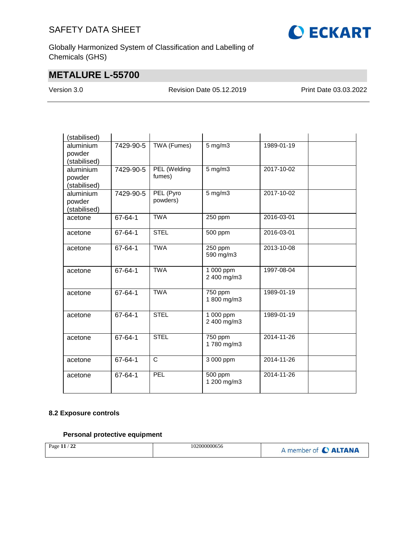

Globally Harmonized System of Classification and Labelling of Chemicals (GHS)

# **METALURE L-55700**

Version 3.0 Revision Date 05.12.2019 Print Date 03.03.2022

| (stabilised) |               |                    |              |                  |  |
|--------------|---------------|--------------------|--------------|------------------|--|
| aluminium    | 7429-90-5     | <b>TWA (Fumes)</b> | $5$ mg/m $3$ | 1989-01-19       |  |
| powder       |               |                    |              |                  |  |
| (stabilised) |               |                    |              |                  |  |
| aluminium    | 7429-90-5     | PEL (Welding       | $5$ mg/m $3$ | $2017 - 10 - 02$ |  |
| powder       |               | fumes)             |              |                  |  |
| (stabilised) |               |                    |              |                  |  |
| aluminium    | 7429-90-5     | PEL (Pyro          | $5$ mg/m $3$ | 2017-10-02       |  |
| powder       |               | powders)           |              |                  |  |
| (stabilised) |               |                    |              |                  |  |
| acetone      | 67-64-1       | <b>TWA</b>         | 250 ppm      | 2016-03-01       |  |
|              |               |                    |              |                  |  |
| acetone      | 67-64-1       | <b>STEL</b>        | 500 ppm      | 2016-03-01       |  |
|              |               |                    |              |                  |  |
| acetone      | 67-64-1       | <b>TWA</b>         | 250 ppm      | 2013-10-08       |  |
|              |               |                    | 590 mg/m3    |                  |  |
|              |               |                    |              |                  |  |
| acetone      | 67-64-1       | <b>TWA</b>         | 1 000 ppm    | 1997-08-04       |  |
|              |               |                    | 2 400 mg/m3  |                  |  |
|              |               |                    |              |                  |  |
| acetone      | 67-64-1       | <b>TWA</b>         | 750 ppm      | 1989-01-19       |  |
|              |               |                    | 1 800 mg/m3  |                  |  |
|              |               |                    |              |                  |  |
| acetone      | 67-64-1       | <b>STEL</b>        | 1 000 ppm    | 1989-01-19       |  |
|              |               |                    | 2 400 mg/m3  |                  |  |
|              | 67-64-1       | <b>STEL</b>        | 750 ppm      | 2014-11-26       |  |
| acetone      |               |                    | 1780 mg/m3   |                  |  |
|              |               |                    |              |                  |  |
| acetone      | $67 - 64 - 1$ | $\mathsf{C}$       | 3 000 ppm    | 2014-11-26       |  |
|              |               |                    |              |                  |  |
| acetone      | 67-64-1       | PEL                | 500 ppm      | 2014-11-26       |  |
|              |               |                    | 1 200 mg/m3  |                  |  |
|              |               |                    |              |                  |  |
|              |               |                    |              |                  |  |

### **8.2 Exposure controls**

### **Personal protective equipment**

| Page 11 / 22 | 102000000656 | A member of C ALTANA |
|--------------|--------------|----------------------|
|              |              |                      |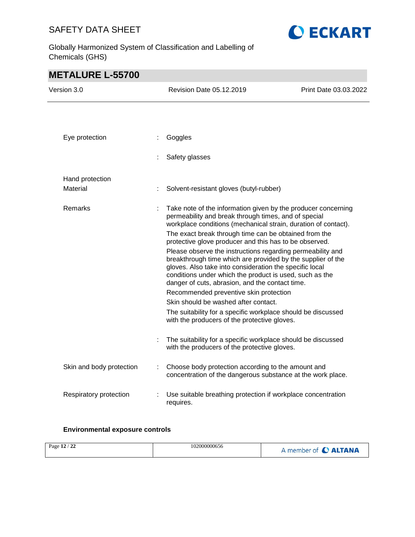**O ECKART** 

Globally Harmonized System of Classification and Labelling of Chemicals (GHS)

# **METALURE L-55700**

| Version 3.0              |   | Revision Date 05.12.2019                                                                                                                                                                                                                                                                           | Print Date 03.03.2022 |
|--------------------------|---|----------------------------------------------------------------------------------------------------------------------------------------------------------------------------------------------------------------------------------------------------------------------------------------------------|-----------------------|
|                          |   |                                                                                                                                                                                                                                                                                                    |                       |
| Eye protection           | ÷ | Goggles                                                                                                                                                                                                                                                                                            |                       |
|                          |   | Safety glasses                                                                                                                                                                                                                                                                                     |                       |
| Hand protection          |   |                                                                                                                                                                                                                                                                                                    |                       |
| Material                 |   | Solvent-resistant gloves (butyl-rubber)                                                                                                                                                                                                                                                            |                       |
| Remarks                  |   | Take note of the information given by the producer concerning<br>permeability and break through times, and of special<br>workplace conditions (mechanical strain, duration of contact).                                                                                                            |                       |
|                          |   | The exact break through time can be obtained from the<br>protective glove producer and this has to be observed.                                                                                                                                                                                    |                       |
|                          |   | Please observe the instructions regarding permeability and<br>breakthrough time which are provided by the supplier of the<br>gloves. Also take into consideration the specific local<br>conditions under which the product is used, such as the<br>danger of cuts, abrasion, and the contact time. |                       |
|                          |   | Recommended preventive skin protection                                                                                                                                                                                                                                                             |                       |
|                          |   | Skin should be washed after contact.                                                                                                                                                                                                                                                               |                       |
|                          |   | The suitability for a specific workplace should be discussed<br>with the producers of the protective gloves.                                                                                                                                                                                       |                       |
|                          |   | The suitability for a specific workplace should be discussed<br>with the producers of the protective gloves.                                                                                                                                                                                       |                       |
| Skin and body protection |   | Choose body protection according to the amount and<br>concentration of the dangerous substance at the work place.                                                                                                                                                                                  |                       |
| Respiratory protection   |   | Use suitable breathing protection if workplace concentration<br>requires.                                                                                                                                                                                                                          |                       |

### **Environmental exposure controls**

| $\sim$<br>102000000656<br>Page $12$<br>- 44 | A member of C ALTANA |
|---------------------------------------------|----------------------|
|---------------------------------------------|----------------------|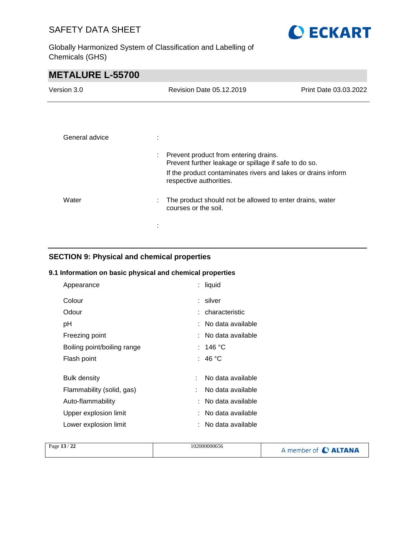

Globally Harmonized System of Classification and Labelling of Chemicals (GHS)

# **METALURE L-55700**

| Version 3.0    |   | Revision Date 05.12.2019                                                                         | Print Date 03.03.2022 |
|----------------|---|--------------------------------------------------------------------------------------------------|-----------------------|
|                |   |                                                                                                  |                       |
| General advice | ÷ |                                                                                                  |                       |
|                |   | : Prevent product from entering drains.<br>Prevent further leakage or spillage if safe to do so. |                       |
|                |   | If the product contaminates rivers and lakes or drains inform<br>respective authorities.         |                       |
| Water          | : | The product should not be allowed to enter drains, water<br>courses or the soil.                 |                       |
|                |   |                                                                                                  |                       |

### **SECTION 9: Physical and chemical properties**

### **9.1 Information on basic physical and chemical properties**

| : liquid            |
|---------------------|
| : silver            |
| : characteristic    |
| : No data available |
| : No data available |
| : 146 °C            |
| : 46 °C             |
|                     |
| No data available   |
| No data available   |
| : No data available |
| : No data available |
| : No data available |
|                     |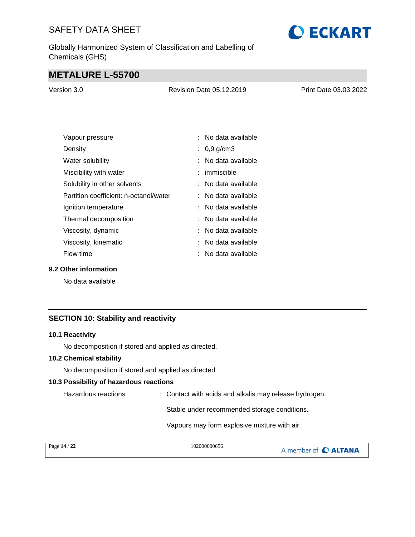Globally Harmonized System of Classification and Labelling of Chemicals (GHS)

# **METALURE L-55700**

| Version 3.0 | <b>Revision Date 05.12.2019</b> | Print Date 03.03.2022 |
|-------------|---------------------------------|-----------------------|
|             |                                 |                       |

**O ECKART** 

| Vapour pressure                        | $:$ No data available          |
|----------------------------------------|--------------------------------|
| Density                                | : $0,9$ g/cm3                  |
| Water solubility                       | : No data available            |
| Miscibility with water                 | $:$ immiscible                 |
| Solubility in other solvents           | : No data available            |
| Partition coefficient: n-octanol/water | $\therefore$ No data available |
| Ignition temperature                   | : No data available            |
| Thermal decomposition                  | $:$ No data available          |
| Viscosity, dynamic                     | : No data available            |
| Viscosity, kinematic                   | : No data available            |
| Flow time                              | : No data available            |

### **9.2 Other information**

No data available

### **SECTION 10: Stability and reactivity**

#### **10.1 Reactivity**

No decomposition if stored and applied as directed.

### **10.2 Chemical stability**

No decomposition if stored and applied as directed.

### **10.3 Possibility of hazardous reactions**

Hazardous reactions : Contact with acids and alkalis may release hydrogen.

Stable under recommended storage conditions.

Vapours may form explosive mixture with air.

| Page 14 / 22 | 102000000656 | A member of C ALTANA |
|--------------|--------------|----------------------|
|              |              |                      |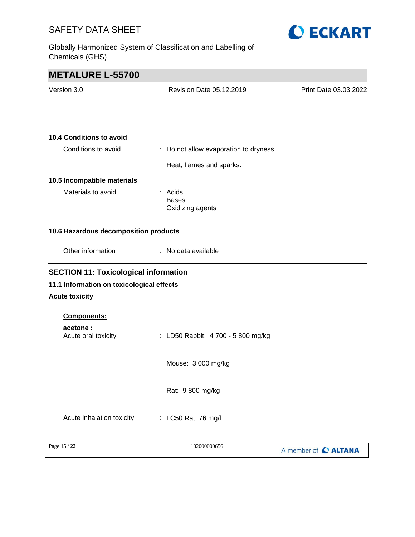Globally Harmonized System of Classification and Labelling of Chemicals (GHS)



| <b>METALURE L-55700</b>                      |                                             |                             |
|----------------------------------------------|---------------------------------------------|-----------------------------|
| Version 3.0                                  | Revision Date 05.12.2019                    | Print Date 03.03.2022       |
|                                              |                                             |                             |
| <b>10.4 Conditions to avoid</b>              |                                             |                             |
| Conditions to avoid                          | : Do not allow evaporation to dryness.      |                             |
|                                              | Heat, flames and sparks.                    |                             |
| 10.5 Incompatible materials                  |                                             |                             |
| Materials to avoid                           | : Acids<br><b>Bases</b><br>Oxidizing agents |                             |
| 10.6 Hazardous decomposition products        |                                             |                             |
| Other information                            | : No data available                         |                             |
| <b>SECTION 11: Toxicological information</b> |                                             |                             |
| 11.1 Information on toxicological effects    |                                             |                             |
| <b>Acute toxicity</b>                        |                                             |                             |
| Components:                                  |                                             |                             |
| acetone:<br>Acute oral toxicity              | : LD50 Rabbit: 4 700 - 5 800 mg/kg          |                             |
|                                              | Mouse: 3 000 mg/kg                          |                             |
|                                              | Rat: 9 800 mg/kg                            |                             |
| Acute inhalation toxicity                    | : LC50 Rat: 76 mg/l                         |                             |
| Page 15 / 22                                 | 102000000656                                | A member of <b>O ALTANA</b> |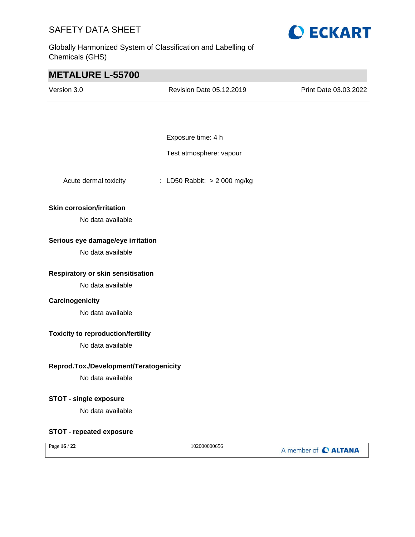Globally Harmonized System of Classification and Labelling of Chemicals (GHS)



| <b>METALURE L-55700</b>                   |                              |                       |
|-------------------------------------------|------------------------------|-----------------------|
| Version 3.0                               | Revision Date 05.12.2019     | Print Date 03.03.2022 |
|                                           |                              |                       |
|                                           |                              |                       |
|                                           | Exposure time: 4 h           |                       |
|                                           | Test atmosphere: vapour      |                       |
| Acute dermal toxicity                     | : LD50 Rabbit: > 2 000 mg/kg |                       |
| <b>Skin corrosion/irritation</b>          |                              |                       |
| No data available                         |                              |                       |
| Serious eye damage/eye irritation         |                              |                       |
| No data available                         |                              |                       |
| Respiratory or skin sensitisation         |                              |                       |
| No data available                         |                              |                       |
| Carcinogenicity                           |                              |                       |
| No data available                         |                              |                       |
| <b>Toxicity to reproduction/fertility</b> |                              |                       |
| No data available                         |                              |                       |
| Reprod.Tox./Development/Teratogenicity    |                              |                       |
| No data available                         |                              |                       |
| <b>STOT - single exposure</b>             |                              |                       |
| No data available                         |                              |                       |
| <b>STOT - repeated exposure</b>           |                              |                       |
| Page 16 / 22                              | 102000000656                 | A member of C ALTANA  |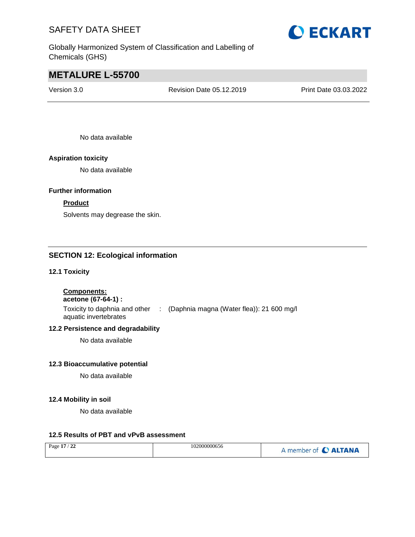

Globally Harmonized System of Classification and Labelling of Chemicals (GHS)

# **METALURE L-55700**

Version 3.0 Revision Date 05.12.2019 Print Date 03.03.2022

No data available

### **Aspiration toxicity**

No data available

### **Further information**

### **Product**

Solvents may degrease the skin.

### **SECTION 12: Ecological information**

### **12.1 Toxicity**

**Components:**

### **acetone (67-64-1) :**

Toxicity to daphnia and other : (Daphnia magna (Water flea)): 21 600 mg/l aquatic invertebrates

### **12.2 Persistence and degradability**

No data available

#### **12.3 Bioaccumulative potential**

No data available

### **12.4 Mobility in soil**

No data available

### **12.5 Results of PBT and vPvB assessment**

| Page 17 / 22 | 102000000656 | A member of C ALTANA |
|--------------|--------------|----------------------|
|--------------|--------------|----------------------|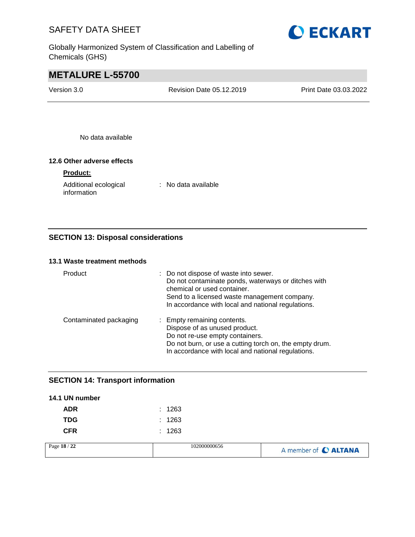

Globally Harmonized System of Classification and Labelling of Chemicals (GHS)

# **METALURE L-55700**

| Version 3.0 | Revision Date 05.12.2019 | <b>Print Date 03.03.2022</b> |
|-------------|--------------------------|------------------------------|
|             |                          |                              |

No data available

### **12.6 Other adverse effects**

### **Product:**

| Additional ecological | : No data available |
|-----------------------|---------------------|
| information           |                     |

### **SECTION 13: Disposal considerations**

### **13.1 Waste treatment methods**

| Product                | : Do not dispose of waste into sewer.<br>Do not contaminate ponds, waterways or ditches with<br>chemical or used container.<br>Send to a licensed waste management company.<br>In accordance with local and national regulations. |
|------------------------|-----------------------------------------------------------------------------------------------------------------------------------------------------------------------------------------------------------------------------------|
| Contaminated packaging | : Empty remaining contents.<br>Dispose of as unused product.<br>Do not re-use empty containers.<br>Do not burn, or use a cutting torch on, the empty drum.<br>In accordance with local and national regulations.                  |

### **SECTION 14: Transport information**

| 14.1 UN number |              |                      |
|----------------|--------------|----------------------|
| <b>ADR</b>     | : 1263       |                      |
| <b>TDG</b>     | : 1263       |                      |
| <b>CFR</b>     | : 1263       |                      |
| Page 18 / 22   | 102000000656 | A member of C ALTANA |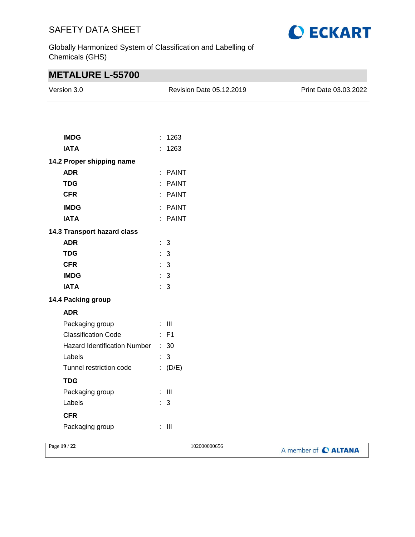

Globally Harmonized System of Classification and Labelling of Chemicals (GHS)

# **METALURE L-55700**

| Version 3.0                       | Revision Date 05.12.2019 | Print Date 03.03.2022 |
|-----------------------------------|--------------------------|-----------------------|
|                                   |                          |                       |
| <b>IMDG</b>                       | : 1263                   |                       |
| <b>IATA</b>                       | : 1263                   |                       |
| 14.2 Proper shipping name         |                          |                       |
| <b>ADR</b>                        | : PAINT                  |                       |
| <b>TDG</b>                        | : PAINT                  |                       |
| <b>CFR</b>                        | : PAINT                  |                       |
| <b>IMDG</b>                       | : PAINT                  |                       |
| <b>IATA</b>                       | : PAINT                  |                       |
| 14.3 Transport hazard class       |                          |                       |
| <b>ADR</b>                        | : 3                      |                       |
| <b>TDG</b>                        | : 3                      |                       |
| <b>CFR</b>                        | : 3                      |                       |
| <b>IMDG</b>                       | $\therefore$ 3           |                       |
| <b>IATA</b>                       | : 3                      |                       |
| 14.4 Packing group                |                          |                       |
| <b>ADR</b>                        |                          |                       |
| Packaging group                   | $\div$ III               |                       |
| <b>Classification Code</b>        | $:$ F1                   |                       |
| Hazard Identification Number : 30 |                          |                       |
| Labels                            | : 3                      |                       |
| Tunnel restriction code           | (D/E)                    |                       |
| <b>TDG</b>                        |                          |                       |
| Packaging group                   | $:$ $\mathbb H$          |                       |
| Labels                            | : 3                      |                       |
| <b>CFR</b>                        |                          |                       |
|                                   |                          |                       |
| Packaging group                   | $\colon \mathbb{H}$      |                       |

| Page 19 / 22 | 102000000656 | A member of C ALTANA |
|--------------|--------------|----------------------|
|--------------|--------------|----------------------|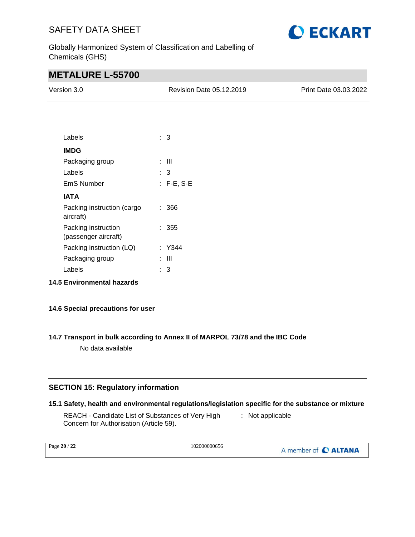

Globally Harmonized System of Classification and Labelling of Chemicals (GHS)

# **METALURE L-55700**

| Version 3.0     | Revision Date 05.12.2019 | Print Date 03.03.2022 |
|-----------------|--------------------------|-----------------------|
|                 |                          |                       |
|                 |                          |                       |
| Labels          | $\therefore$ 3           |                       |
| <b>IMDG</b>     |                          |                       |
| Packaging group | $\pm$ 111                |                       |
| Labels          | $\therefore$ 3           |                       |
| EmS Number      | $: F-E, S-E$             |                       |

| IATA                                    |        |
|-----------------------------------------|--------|
| Packing instruction (cargo<br>aircraft) | : 366  |
| Packing instruction                     | : 355  |
| (passenger aircraft)                    |        |
| Packing instruction (LQ)                | · Y344 |
| Packaging group                         | -111   |
| I abels                                 | З      |

**14.5 Environmental hazards**

### **14.6 Special precautions for user**

### **14.7 Transport in bulk according to Annex II of MARPOL 73/78 and the IBC Code**

No data available

### **SECTION 15: Regulatory information**

#### **15.1 Safety, health and environmental regulations/legislation specific for the substance or mixture**

REACH - Candidate List of Substances of Very High Concern for Authorisation (Article 59). : Not applicable

| Page 20 / 22 | 102000000656 | A member of C ALTANA |
|--------------|--------------|----------------------|
|--------------|--------------|----------------------|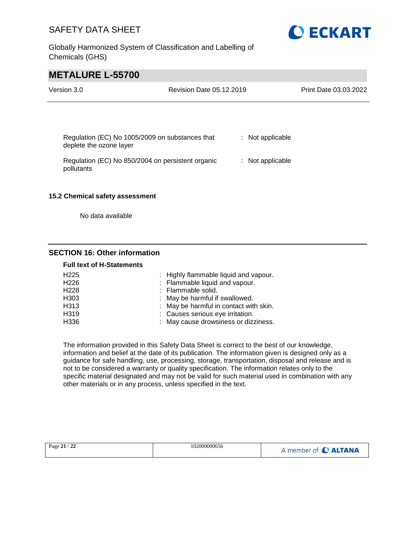Globally Harmonized System of Classification and Labelling of Chemicals (GHS)



# **METALURE L-55700**

| Version 3.0                                                                | Revision Date 05.12.2019 |                  | Print Date 03.03.2022 |
|----------------------------------------------------------------------------|--------------------------|------------------|-----------------------|
|                                                                            |                          |                  |                       |
| Regulation (EC) No 1005/2009 on substances that<br>deplete the ozone layer |                          | : Not applicable |                       |
| Regulation (EC) No 850/2004 on persistent organic<br>pollutants            |                          | : Not applicable |                       |
| 15.2 Chemical safety assessment                                            |                          |                  |                       |

No data available

### **SECTION 16: Other information**

#### **Full text of H-Statements**

| H <sub>225</sub> | : Highly flammable liquid and vapour.  |
|------------------|----------------------------------------|
| H <sub>226</sub> | : Flammable liquid and vapour.         |
| H <sub>228</sub> | : Flammable solid.                     |
| H <sub>303</sub> | : May be harmful if swallowed.         |
| H313             | : May be harmful in contact with skin. |
| H319             | : Causes serious eye irritation.       |
| H336             | : May cause drowsiness or dizziness.   |

The information provided in this Safety Data Sheet is correct to the best of our knowledge, information and belief at the date of its publication. The information given is designed only as a guidance for safe handling, use, processing, storage, transportation, disposal and release and is not to be considered a warranty or quality specification. The information relates only to the specific material designated and may not be valid for such material used in combination with any other materials or in any process, unless specified in the text.

|  | Page 21 / 22 | 102000000656 | A member of C ALTANA |
|--|--------------|--------------|----------------------|
|--|--------------|--------------|----------------------|